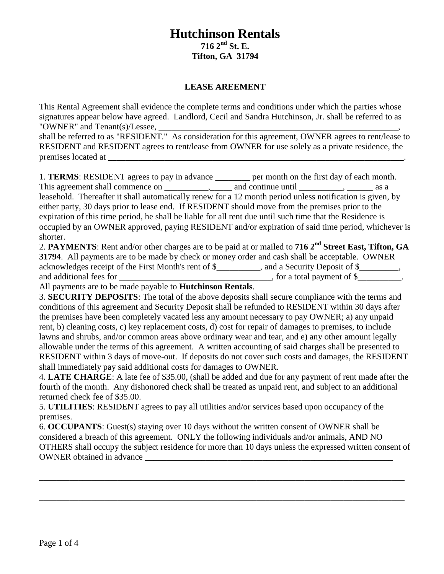#### **LEASE AREEMENT**

This Rental Agreement shall evidence the complete terms and conditions under which the parties whose signatures appear below have agreed. Landlord, Cecil and Sandra Hutchinson, Jr. shall be referred to as "OWNER" and Tenant(s)/Lessee,

shall be referred to as "RESIDENT." As consideration for this agreement, OWNER agrees to rent/lease to RESIDENT and RESIDENT agrees to rent/lease from OWNER for use solely as a private residence, the premises located at **\_\_\_\_\_\_\_\_\_\_\_\_\_\_\_\_\_\_\_\_\_\_\_\_\_\_\_\_\_\_\_\_\_\_\_\_\_\_\_\_\_\_\_\_\_\_\_\_\_\_\_\_\_\_\_\_\_\_\_\_\_\_\_\_\_\_\_\_**.

1. **TERMS**: RESIDENT agrees to pay in advance **\_\_\_\_\_\_\_\_** per month on the first day of each month.

This agreement shall commence on \_\_\_\_\_\_\_\_\_\_, \_\_\_\_\_\_ and continue until \_\_\_\_\_\_\_\_\_, \_\_\_\_\_\_\_ as a

leasehold. Thereafter it shall automatically renew for a 12 month period unless notification is given, by either party, 30 days prior to lease end. If RESIDENT should move from the premises prior to the expiration of this time period, he shall be liable for all rent due until such time that the Residence is occupied by an OWNER approved, paying RESIDENT and/or expiration of said time period, whichever is shorter.

2. **PAYMENTS**: Rent and/or other charges are to be paid at or mailed to **716 2nd Street East, Tifton, GA 31794**. All payments are to be made by check or money order and cash shall be acceptable. OWNER acknowledges receipt of the First Month's rent of \$\_\_\_\_\_\_\_\_\_\_, and a Security Deposit of \$\_\_\_\_\_\_\_\_\_, and additional fees for \_\_\_\_\_\_\_\_\_\_\_\_\_\_\_\_\_\_\_\_\_\_\_\_\_\_\_\_\_\_\_\_\_\_\_, for a total payment of \$\_\_\_\_\_\_\_\_\_\_.

All payments are to be made payable to **Hutchinson Rentals**.

3. **SECURITY DEPOSITS**: The total of the above deposits shall secure compliance with the terms and conditions of this agreement and Security Deposit shall be refunded to RESIDENT within 30 days after the premises have been completely vacated less any amount necessary to pay OWNER; a) any unpaid rent, b) cleaning costs, c) key replacement costs, d) cost for repair of damages to premises, to include lawns and shrubs, and/or common areas above ordinary wear and tear, and e) any other amount legally allowable under the terms of this agreement. A written accounting of said charges shall be presented to RESIDENT within 3 days of move-out. If deposits do not cover such costs and damages, the RESIDENT shall immediately pay said additional costs for damages to OWNER.

4. **LATE CHARGE**: A late fee of \$35.00, (shall be added and due for any payment of rent made after the fourth of the month. Any dishonored check shall be treated as unpaid rent, and subject to an additional returned check fee of \$35.00.

5. **UTILITIES**: RESIDENT agrees to pay all utilities and/or services based upon occupancy of the premises.

6. **OCCUPANTS**: Guest(s) staying over 10 days without the written consent of OWNER shall be considered a breach of this agreement. ONLY the following individuals and/or animals, AND NO OTHERS shall occupy the subject residence for more than 10 days unless the expressed written consent of OWNER obtained in advance \_\_\_\_\_\_\_\_\_\_\_\_\_\_\_\_\_\_\_\_\_\_\_\_\_\_\_\_\_\_\_\_\_\_\_\_\_\_\_\_\_\_\_\_\_\_\_\_\_\_\_\_\_\_\_\_\_

\_\_\_\_\_\_\_\_\_\_\_\_\_\_\_\_\_\_\_\_\_\_\_\_\_\_\_\_\_\_\_\_\_\_\_\_\_\_\_\_\_\_\_\_\_\_\_\_\_\_\_\_\_\_\_\_\_\_\_\_\_\_\_\_\_\_\_\_\_\_\_\_\_\_\_\_\_\_\_\_\_\_\_\_

\_\_\_\_\_\_\_\_\_\_\_\_\_\_\_\_\_\_\_\_\_\_\_\_\_\_\_\_\_\_\_\_\_\_\_\_\_\_\_\_\_\_\_\_\_\_\_\_\_\_\_\_\_\_\_\_\_\_\_\_\_\_\_\_\_\_\_\_\_\_\_\_\_\_\_\_\_\_\_\_\_\_\_\_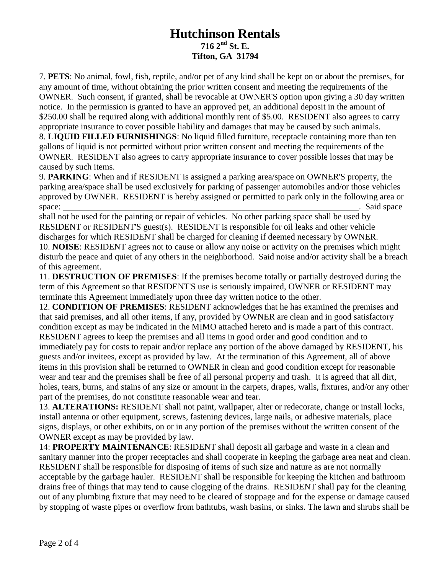7. **PETS**: No animal, fowl, fish, reptile, and/or pet of any kind shall be kept on or about the premises, for any amount of time, without obtaining the prior written consent and meeting the requirements of the OWNER. Such consent, if granted, shall be revocable at OWNER'S option upon giving a 30 day written notice. In the permission is granted to have an approved pet, an additional deposit in the amount of \$250.00 shall be required along with additional monthly rent of \$5.00. RESIDENT also agrees to carry appropriate insurance to cover possible liability and damages that may be caused by such animals.

8. **LIQUID FILLED FURNISHINGS**: No liquid filled furniture, receptacle containing more than ten gallons of liquid is not permitted without prior written consent and meeting the requirements of the OWNER. RESIDENT also agrees to carry appropriate insurance to cover possible losses that may be caused by such items.

9. **PARKING**: When and if RESIDENT is assigned a parking area/space on OWNER'S property, the parking area/space shall be used exclusively for parking of passenger automobiles and/or those vehicles approved by OWNER. RESIDENT is hereby assigned or permitted to park only in the following area or space: \_\_\_\_\_\_\_\_\_\_\_\_\_\_\_\_\_\_\_\_\_\_\_\_\_\_\_\_\_\_\_\_\_\_\_\_\_\_\_\_\_\_\_\_\_\_\_\_\_\_\_\_\_\_\_\_\_\_\_\_\_\_\_\_\_\_\_\_. Said space

shall not be used for the painting or repair of vehicles. No other parking space shall be used by RESIDENT or RESIDENT'S guest(s). RESIDENT is responsible for oil leaks and other vehicle discharges for which RESIDENT shall be charged for cleaning if deemed necessary by OWNER. 10. **NOISE**: RESIDENT agrees not to cause or allow any noise or activity on the premises which might disturb the peace and quiet of any others in the neighborhood. Said noise and/or activity shall be a breach of this agreement.

11. **DESTRUCTION OF PREMISES**: If the premises become totally or partially destroyed during the term of this Agreement so that RESIDENT'S use is seriously impaired, OWNER or RESIDENT may terminate this Agreement immediately upon three day written notice to the other.

12. **CONDITION OF PREMISES**: RESIDENT acknowledges that he has examined the premises and that said premises, and all other items, if any, provided by OWNER are clean and in good satisfactory condition except as may be indicated in the MIMO attached hereto and is made a part of this contract. RESIDENT agrees to keep the premises and all items in good order and good condition and to immediately pay for costs to repair and/or replace any portion of the above damaged by RESIDENT, his guests and/or invitees, except as provided by law. At the termination of this Agreement, all of above items in this provision shall be returned to OWNER in clean and good condition except for reasonable wear and tear and the premises shall be free of all personal property and trash. It is agreed that all dirt, holes, tears, burns, and stains of any size or amount in the carpets, drapes, walls, fixtures, and/or any other part of the premises, do not constitute reasonable wear and tear.

13. **ALTERATIONS:** RESIDENT shall not paint, wallpaper, alter or redecorate, change or install locks, install antenna or other equipment, screws, fastening devices, large nails, or adhesive materials, place signs, displays, or other exhibits, on or in any portion of the premises without the written consent of the OWNER except as may be provided by law.

14: **PROPERTY MAINTENANCE**: RESIDENT shall deposit all garbage and waste in a clean and sanitary manner into the proper receptacles and shall cooperate in keeping the garbage area neat and clean. RESIDENT shall be responsible for disposing of items of such size and nature as are not normally acceptable by the garbage hauler. RESIDENT shall be responsible for keeping the kitchen and bathroom drains free of things that may tend to cause clogging of the drains. RESIDENT shall pay for the cleaning out of any plumbing fixture that may need to be cleared of stoppage and for the expense or damage caused by stopping of waste pipes or overflow from bathtubs, wash basins, or sinks. The lawn and shrubs shall be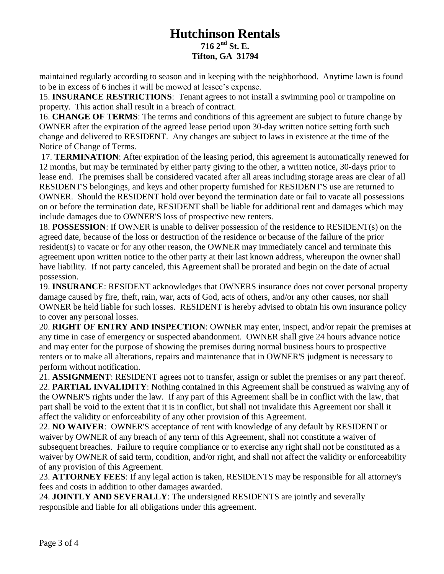maintained regularly according to season and in keeping with the neighborhood. Anytime lawn is found to be in excess of 6 inches it will be mowed at lessee's expense.

15. **INSURANCE RESTRICTIONS**: Tenant agrees to not install a swimming pool or trampoline on property. This action shall result in a breach of contract.

16. **CHANGE OF TERMS**: The terms and conditions of this agreement are subject to future change by OWNER after the expiration of the agreed lease period upon 30-day written notice setting forth such change and delivered to RESIDENT. Any changes are subject to laws in existence at the time of the Notice of Change of Terms.

17. **TERMINATION**: After expiration of the leasing period, this agreement is automatically renewed for 12 months, but may be terminated by either party giving to the other, a written notice, 30-days prior to lease end. The premises shall be considered vacated after all areas including storage areas are clear of all RESIDENT'S belongings, and keys and other property furnished for RESIDENT'S use are returned to OWNER. Should the RESIDENT hold over beyond the termination date or fail to vacate all possessions on or before the termination date, RESIDENT shall be liable for additional rent and damages which may include damages due to OWNER'S loss of prospective new renters.

18. **POSSESSION**: If OWNER is unable to deliver possession of the residence to RESIDENT(s) on the agreed date, because of the loss or destruction of the residence or because of the failure of the prior resident(s) to vacate or for any other reason, the OWNER may immediately cancel and terminate this agreement upon written notice to the other party at their last known address, whereupon the owner shall have liability. If not party canceled, this Agreement shall be prorated and begin on the date of actual possession.

19. **INSURANCE**: RESIDENT acknowledges that OWNERS insurance does not cover personal property damage caused by fire, theft, rain, war, acts of God, acts of others, and/or any other causes, nor shall OWNER be held liable for such losses. RESIDENT is hereby advised to obtain his own insurance policy to cover any personal losses.

20. **RIGHT OF ENTRY AND INSPECTION**: OWNER may enter, inspect, and/or repair the premises at any time in case of emergency or suspected abandonment. OWNER shall give 24 hours advance notice and may enter for the purpose of showing the premises during normal business hours to prospective renters or to make all alterations, repairs and maintenance that in OWNER'S judgment is necessary to perform without notification.

21. **ASSIGNMENT**: RESIDENT agrees not to transfer, assign or sublet the premises or any part thereof. 22. **PARTIAL INVALIDITY**: Nothing contained in this Agreement shall be construed as waiving any of the OWNER'S rights under the law. If any part of this Agreement shall be in conflict with the law, that part shall be void to the extent that it is in conflict, but shall not invalidate this Agreement nor shall it affect the validity or enforceability of any other provision of this Agreement.

22. **NO WAIVER**: OWNER'S acceptance of rent with knowledge of any default by RESIDENT or waiver by OWNER of any breach of any term of this Agreement, shall not constitute a waiver of subsequent breaches. Failure to require compliance or to exercise any right shall not be constituted as a waiver by OWNER of said term, condition, and/or right, and shall not affect the validity or enforceability of any provision of this Agreement.

23. **ATTORNEY FEES**: If any legal action is taken, RESIDENTS may be responsible for all attorney's fees and costs in addition to other damages awarded.

24. **JOINTLY AND SEVERALLY**: The undersigned RESIDENTS are jointly and severally responsible and liable for all obligations under this agreement.